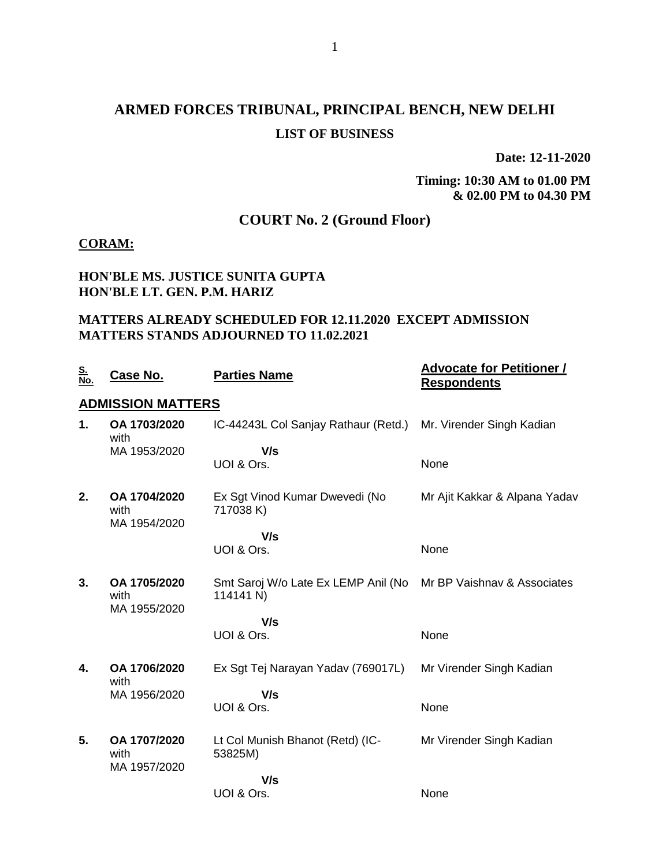## **ARMED FORCES TRIBUNAL, PRINCIPAL BENCH, NEW DELHI LIST OF BUSINESS**

**Date: 12-11-2020**

#### **Timing: 10:30 AM to 01.00 PM & 02.00 PM to 04.30 PM**

### **COURT No. 2 (Ground Floor)**

#### **CORAM:**

#### **HON'BLE MS. JUSTICE SUNITA GUPTA HON'BLE LT. GEN. P.M. HARIZ**

#### **MATTERS ALREADY SCHEDULED FOR 12.11.2020 EXCEPT ADMISSION MATTERS STANDS ADJOURNED TO 11.02.2021**

| <u>S.</u><br>No. | Case No.                             | <b>Parties Name</b>                              | <b>Advocate for Petitioner /</b><br><b>Respondents</b> |
|------------------|--------------------------------------|--------------------------------------------------|--------------------------------------------------------|
|                  | <b>ADMISSION MATTERS</b>             |                                                  |                                                        |
| 1.               | OA 1703/2020<br>with                 | IC-44243L Col Sanjay Rathaur (Retd.)             | Mr. Virender Singh Kadian                              |
|                  | MA 1953/2020                         | V/s                                              |                                                        |
|                  |                                      | UOI & Ors.                                       | None                                                   |
| 2.               | OA 1704/2020<br>with<br>MA 1954/2020 | Ex Sgt Vinod Kumar Dwevedi (No<br>717038 K)      | Mr Ajit Kakkar & Alpana Yadav                          |
|                  |                                      | V/s                                              |                                                        |
|                  |                                      | UOI & Ors.                                       | None                                                   |
| 3.               | OA 1705/2020<br>with                 | Smt Saroj W/o Late Ex LEMP Anil (No<br>114141 N) | Mr BP Vaishnav & Associates                            |
|                  | MA 1955/2020                         | V/s                                              |                                                        |
|                  |                                      | UOI & Ors.                                       | None                                                   |
| 4.               | OA 1706/2020<br>with                 | Ex Sgt Tej Narayan Yadav (769017L)               | Mr Virender Singh Kadian                               |
|                  | MA 1956/2020                         | V/s<br>UOI & Ors.                                | None                                                   |
| 5.               | OA 1707/2020<br>with<br>MA 1957/2020 | Lt Col Munish Bhanot (Retd) (IC-<br>53825M)      | Mr Virender Singh Kadian                               |
|                  |                                      | V/s                                              |                                                        |
|                  |                                      | UOI & Ors.                                       | None                                                   |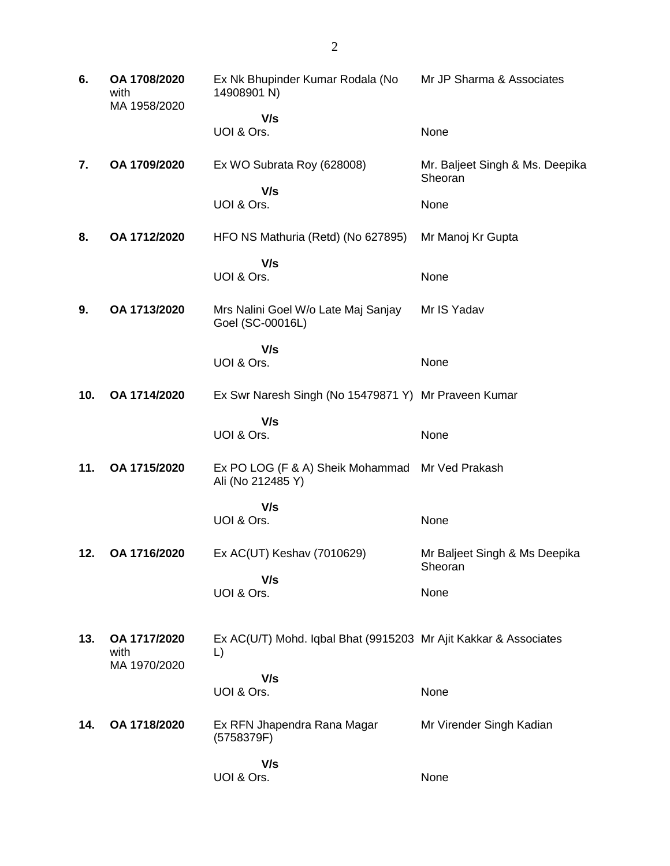| 6.  | OA 1708/2020<br>with<br>MA 1958/2020 | Ex Nk Bhupinder Kumar Rodala (No<br>14908901 N)                        | Mr JP Sharma & Associates                  |
|-----|--------------------------------------|------------------------------------------------------------------------|--------------------------------------------|
|     |                                      | V/s<br>UOI & Ors.                                                      | None                                       |
| 7.  | OA 1709/2020                         | Ex WO Subrata Roy (628008)                                             | Mr. Baljeet Singh & Ms. Deepika<br>Sheoran |
|     |                                      | V/s<br>UOI & Ors.                                                      | None                                       |
| 8.  | OA 1712/2020                         | HFO NS Mathuria (Retd) (No 627895)                                     | Mr Manoj Kr Gupta                          |
|     |                                      | V/s<br>UOI & Ors.                                                      | None                                       |
| 9.  | OA 1713/2020                         | Mrs Nalini Goel W/o Late Maj Sanjay<br>Goel (SC-00016L)                | Mr IS Yadav                                |
|     |                                      | V/s<br>UOI & Ors.                                                      | None                                       |
| 10. | OA 1714/2020                         | Ex Swr Naresh Singh (No 15479871 Y) Mr Praveen Kumar                   |                                            |
|     |                                      | V/s<br>UOI & Ors.                                                      | None                                       |
| 11. | OA 1715/2020                         | Ex PO LOG (F & A) Sheik Mohammad<br>Ali (No 212485 Y)                  | Mr Ved Prakash                             |
|     |                                      | V/s<br>UOI & Ors.                                                      | None                                       |
| 12. | OA 1716/2020                         | Ex AC(UT) Keshav (7010629)                                             | Mr Baljeet Singh & Ms Deepika<br>Sheoran   |
|     |                                      | V/s<br>UOI & Ors.                                                      | None                                       |
| 13. | OA 1717/2020<br>with<br>MA 1970/2020 | Ex AC(U/T) Mohd. Iqbal Bhat (9915203 Mr Ajit Kakkar & Associates<br>L) |                                            |
|     |                                      | V/s<br>UOI & Ors.                                                      | None                                       |
|     |                                      |                                                                        |                                            |
| 14. | OA 1718/2020                         | Ex RFN Jhapendra Rana Magar<br>(5758379F)                              | Mr Virender Singh Kadian                   |
|     |                                      | V/s<br>UOI & Ors.                                                      | None                                       |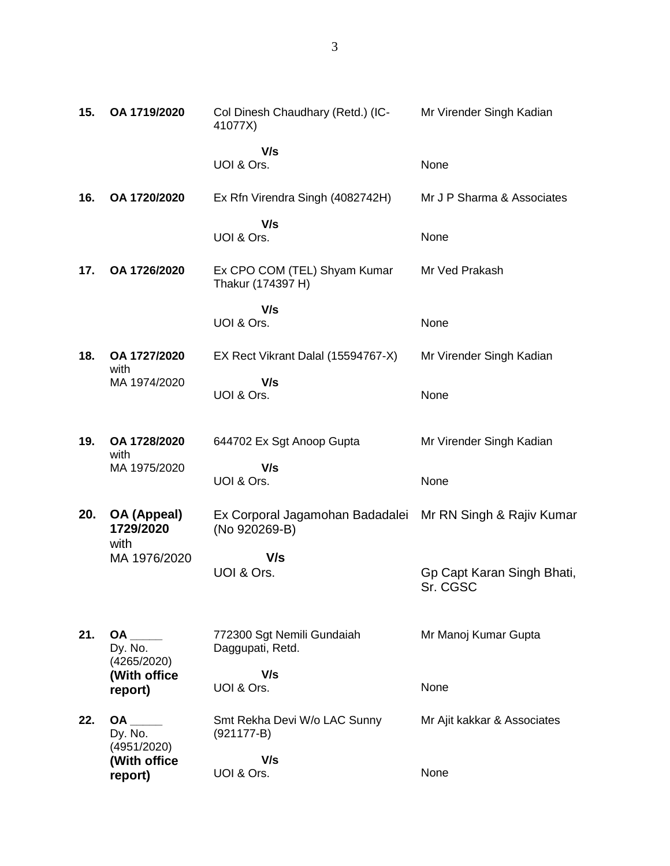| 15. | OA 1719/2020                           | Col Dinesh Chaudhary (Retd.) (IC-<br>41077X)      | Mr Virender Singh Kadian               |
|-----|----------------------------------------|---------------------------------------------------|----------------------------------------|
|     |                                        | V/s<br>UOI & Ors.                                 | None                                   |
| 16. | OA 1720/2020                           | Ex Rfn Virendra Singh (4082742H)                  | Mr J P Sharma & Associates             |
|     |                                        | V/s<br>UOI & Ors.                                 | None                                   |
| 17. | OA 1726/2020                           | Ex CPO COM (TEL) Shyam Kumar<br>Thakur (174397 H) | Mr Ved Prakash                         |
|     |                                        | V/s                                               |                                        |
|     |                                        | UOI & Ors.                                        | None                                   |
| 18. | OA 1727/2020<br>with                   | EX Rect Vikrant Dalal (15594767-X)                | Mr Virender Singh Kadian               |
|     | MA 1974/2020                           | V/s<br>UOI & Ors.                                 | None                                   |
| 19. | OA 1728/2020                           | 644702 Ex Sgt Anoop Gupta                         | Mr Virender Singh Kadian               |
|     | with<br>MA 1975/2020                   | V/s                                               |                                        |
|     |                                        | UOI & Ors.                                        | None                                   |
| 20. | OA (Appeal)<br>1729/2020               | Ex Corporal Jagamohan Badadalei<br>(No 920269-B)  | Mr RN Singh & Rajiv Kumar              |
|     | with<br>MA 1976/2020                   | V/s                                               |                                        |
|     |                                        | UOI & Ors.                                        | Gp Capt Karan Singh Bhati,<br>Sr. CGSC |
|     |                                        |                                                   |                                        |
| 21. | Dy. No.<br>(4265/2020)                 | 772300 Sgt Nemili Gundaiah<br>Daggupati, Retd.    | Mr Manoj Kumar Gupta                   |
|     | (With office                           | V/s                                               |                                        |
|     | report)                                | UOI & Ors.                                        | None                                   |
| 22. | <b>OA</b><br>Dy. No.                   | Smt Rekha Devi W/o LAC Sunny<br>$(921177-B)$      | Mr Ajit kakkar & Associates            |
|     | (4951/2020)<br>(With office<br>report) | V/s<br>UOI & Ors.                                 | None                                   |
|     |                                        |                                                   |                                        |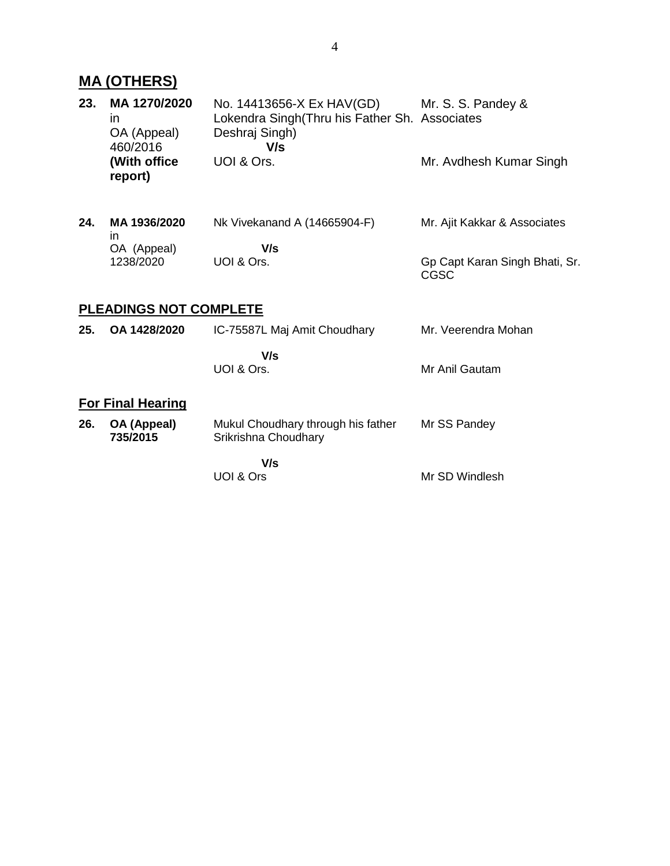## **MA (OTHERS)**

| 23. | MA 1270/2020<br>in.<br>OA (Appeal)<br>460/2016 | No. 14413656-X Ex HAV(GD)<br>Lokendra Singh(Thru his Father Sh. Associates<br>Deshraj Singh)<br>V/s | Mr. S. S. Pandey &                     |
|-----|------------------------------------------------|-----------------------------------------------------------------------------------------------------|----------------------------------------|
|     | (With office<br>report)                        | UOI & Ors.                                                                                          | Mr. Avdhesh Kumar Singh                |
| 24. | MA 1936/2020<br>in                             | Nk Vivekanand A (14665904-F)                                                                        | Mr. Ajit Kakkar & Associates           |
|     | OA (Appeal)                                    | V/s                                                                                                 |                                        |
|     | 1238/2020                                      | UOI & Ors.                                                                                          | Gp Capt Karan Singh Bhati, Sr.<br>CGSC |
|     | <b>PLEADINGS NOT COMPLETE</b>                  |                                                                                                     |                                        |
| 25. | OA 1428/2020                                   | IC-75587L Maj Amit Choudhary                                                                        | Mr. Veerendra Mohan                    |
|     |                                                | V/s                                                                                                 |                                        |
|     |                                                | UOI & Ors.                                                                                          | Mr Anil Gautam                         |
|     | <b>For Final Hearing</b>                       |                                                                                                     |                                        |
| 26. | OA (Appeal)<br>735/2015                        | Mukul Choudhary through his father<br>Srikrishna Choudhary                                          | Mr SS Pandey                           |
|     |                                                | V/s                                                                                                 |                                        |
|     |                                                | UOI & Ors                                                                                           | Mr SD Windlesh                         |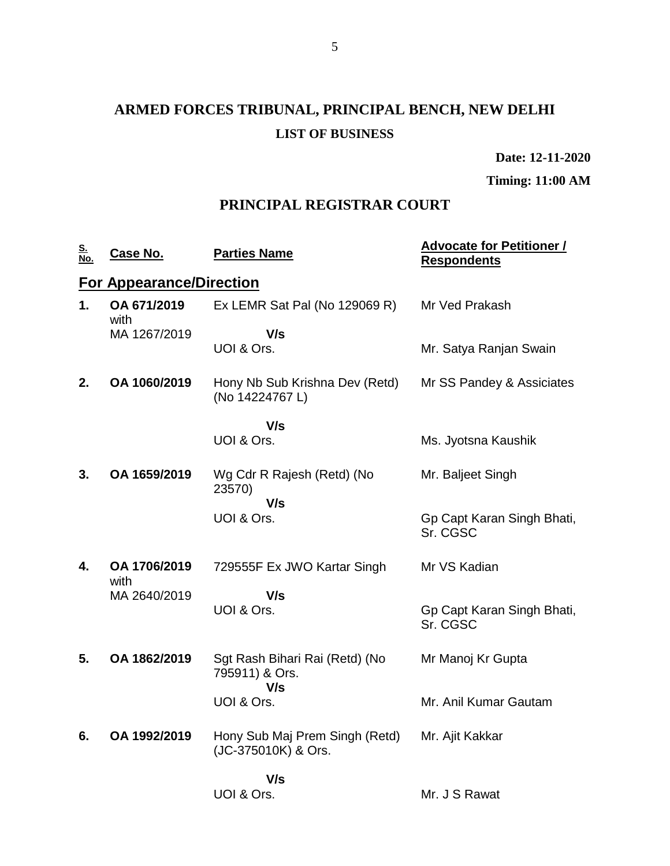# **ARMED FORCES TRIBUNAL, PRINCIPAL BENCH, NEW DELHI LIST OF BUSINESS**

**Date: 12-11-2020**

**Timing: 11:00 AM**

### **PRINCIPAL REGISTRAR COURT**

| <u>S.</u><br>No. | <u>Case No.</u>                 | <b>Parties Name</b>                                     | <b>Advocate for Petitioner /</b><br><b>Respondents</b> |
|------------------|---------------------------------|---------------------------------------------------------|--------------------------------------------------------|
|                  | <b>For Appearance/Direction</b> |                                                         |                                                        |
| 1.               | OA 671/2019<br>with             | Ex LEMR Sat Pal (No 129069 R)                           | Mr Ved Prakash                                         |
|                  | MA 1267/2019                    | V/s<br>UOI & Ors.                                       | Mr. Satya Ranjan Swain                                 |
| 2.               | OA 1060/2019                    | Hony Nb Sub Krishna Dev (Retd)<br>(No 14224767 L)       | Mr SS Pandey & Assiciates                              |
|                  |                                 | V/s                                                     |                                                        |
|                  |                                 | UOI & Ors.                                              | Ms. Jyotsna Kaushik                                    |
| 3.               | OA 1659/2019                    | Wg Cdr R Rajesh (Retd) (No<br>23570)                    | Mr. Baljeet Singh                                      |
|                  |                                 | V/s<br>UOI & Ors.                                       | Gp Capt Karan Singh Bhati,<br>Sr. CGSC                 |
| 4.               | OA 1706/2019<br>with            | 729555F Ex JWO Kartar Singh                             | Mr VS Kadian                                           |
|                  | MA 2640/2019                    | V/s<br>UOI & Ors.                                       | Gp Capt Karan Singh Bhati,<br>Sr. CGSC                 |
| 5.               | OA 1862/2019                    | Sgt Rash Bihari Rai (Retd) (No<br>795911) & Ors.<br>V/s | Mr Manoj Kr Gupta                                      |
|                  |                                 | UOI & Ors.                                              | Mr. Anil Kumar Gautam                                  |
| 6.               | OA 1992/2019                    | Hony Sub Maj Prem Singh (Retd)<br>(JC-375010K) & Ors.   | Mr. Ajit Kakkar                                        |
|                  |                                 | V/s                                                     |                                                        |
|                  |                                 | UOI & Ors.                                              | Mr. J S Rawat                                          |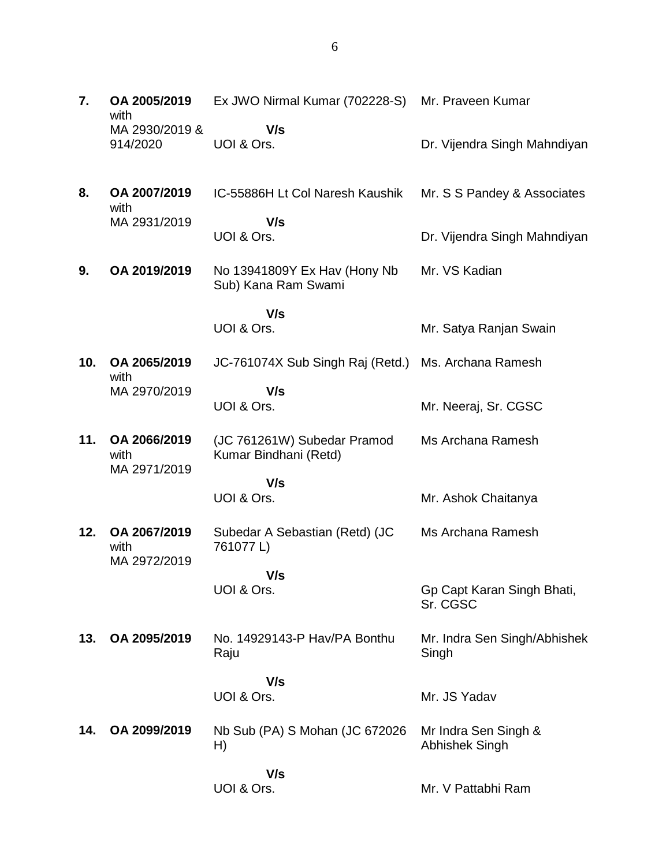| 7.  | OA 2005/2019<br>with       | Ex JWO Nirmal Kumar (702228-S)                       | Mr. Praveen Kumar                      |
|-----|----------------------------|------------------------------------------------------|----------------------------------------|
|     | MA 2930/2019 &<br>914/2020 | V/s<br>UOI & Ors.                                    | Dr. Vijendra Singh Mahndiyan           |
| 8.  | OA 2007/2019<br>with       | IC-55886H Lt Col Naresh Kaushik                      | Mr. S S Pandey & Associates            |
|     | MA 2931/2019               | V/s<br>UOI & Ors.                                    | Dr. Vijendra Singh Mahndiyan           |
| 9.  | OA 2019/2019               | No 13941809Y Ex Hav (Hony Nb<br>Sub) Kana Ram Swami  | Mr. VS Kadian                          |
|     |                            | V/s<br>UOI & Ors.                                    | Mr. Satya Ranjan Swain                 |
| 10. | OA 2065/2019<br>with       | JC-761074X Sub Singh Raj (Retd.)                     | Ms. Archana Ramesh                     |
|     | MA 2970/2019               | V/s<br>UOI & Ors.                                    | Mr. Neeraj, Sr. CGSC                   |
| 11. | OA 2066/2019<br>with       | (JC 761261W) Subedar Pramod<br>Kumar Bindhani (Retd) | Ms Archana Ramesh                      |
|     | MA 2971/2019               | V/s<br>UOI & Ors.                                    | Mr. Ashok Chaitanya                    |
| 12. | OA 2067/2019<br>with       | Subedar A Sebastian (Retd) (JC<br>761077L)           | Ms Archana Ramesh                      |
|     | MA 2972/2019               | V/s                                                  |                                        |
|     |                            | UOI & Ors.                                           | Gp Capt Karan Singh Bhati,<br>Sr. CGSC |
| 13. | OA 2095/2019               | No. 14929143-P Hav/PA Bonthu<br>Raju                 | Mr. Indra Sen Singh/Abhishek<br>Singh  |
|     |                            | V/s                                                  |                                        |
|     |                            | UOI & Ors.                                           | Mr. JS Yadav                           |
| 14. | OA 2099/2019               | Nb Sub (PA) S Mohan (JC 672026<br>H)                 | Mr Indra Sen Singh &<br>Abhishek Singh |
|     |                            | V/s<br>UOI & Ors.                                    | Mr. V Pattabhi Ram                     |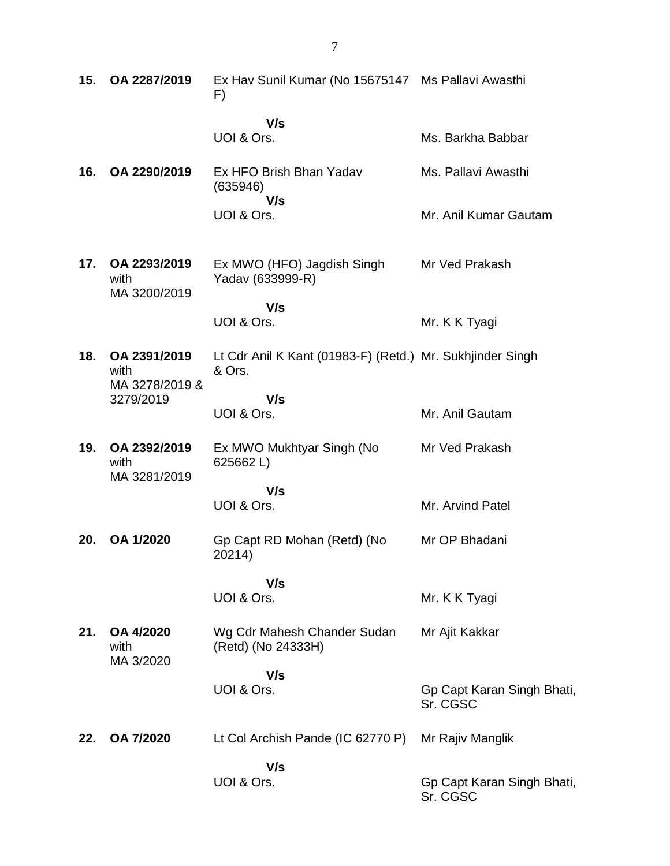| 15. | OA 2287/2019                           | Ex Hav Sunil Kumar (No 15675147 Ms Pallavi Awasthi<br>F)            |                                        |
|-----|----------------------------------------|---------------------------------------------------------------------|----------------------------------------|
|     |                                        | V/s<br>UOI & Ors.                                                   | Ms. Barkha Babbar                      |
| 16. | OA 2290/2019                           | Ex HFO Brish Bhan Yadav<br>(635946)<br>V/s                          | Ms. Pallavi Awasthi                    |
|     |                                        | UOI & Ors.                                                          | Mr. Anil Kumar Gautam                  |
| 17. | OA 2293/2019<br>with<br>MA 3200/2019   | Ex MWO (HFO) Jagdish Singh<br>Yadav (633999-R)                      | Mr Ved Prakash                         |
|     |                                        | V/s<br>UOI & Ors.                                                   | Mr. K K Tyagi                          |
| 18. | OA 2391/2019<br>with<br>MA 3278/2019 & | Lt Cdr Anil K Kant (01983-F) (Retd.) Mr. Sukhjinder Singh<br>& Ors. |                                        |
|     | 3279/2019                              | V/s<br>UOI & Ors.                                                   | Mr. Anil Gautam                        |
| 19. | OA 2392/2019<br>with<br>MA 3281/2019   | Ex MWO Mukhtyar Singh (No<br>625662L)                               | Mr Ved Prakash                         |
|     |                                        | V/s<br>UOI & Ors.                                                   | Mr. Arvind Patel                       |
| 20. | OA 1/2020                              | Gp Capt RD Mohan (Retd) (No<br>20214)                               | Mr OP Bhadani                          |
|     |                                        | V/s<br>UOI & Ors.                                                   | Mr. K K Tyagi                          |
| 21. | OA 4/2020<br>with<br>MA 3/2020         | Wg Cdr Mahesh Chander Sudan<br>(Retd) (No 24333H)                   | Mr Ajit Kakkar                         |
|     |                                        | V/s<br>UOI & Ors.                                                   | Gp Capt Karan Singh Bhati,<br>Sr. CGSC |
| 22. | OA 7/2020                              | Lt Col Archish Pande (IC 62770 P)                                   | Mr Rajiv Manglik                       |
|     |                                        | V/s<br>UOI & Ors.                                                   | Gp Capt Karan Singh Bhati,<br>Sr. CGSC |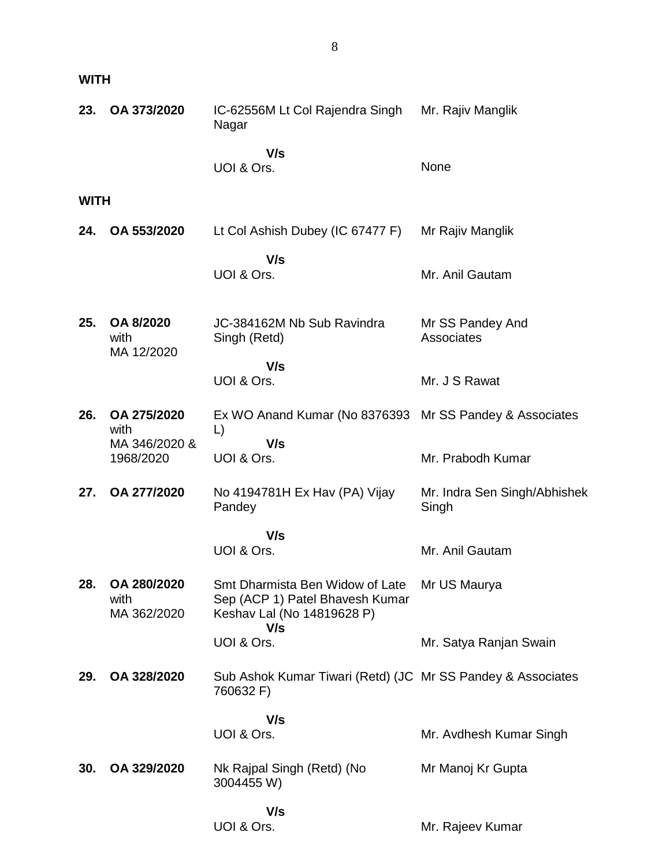**WITH**

| 23.         | OA 373/2020                        | IC-62556M Lt Col Rajendra Singh<br>Nagar                                                         | Mr. Rajiv Manglik                     |
|-------------|------------------------------------|--------------------------------------------------------------------------------------------------|---------------------------------------|
|             |                                    | V/s<br>UOI & Ors.                                                                                | None                                  |
| <b>WITH</b> |                                    |                                                                                                  |                                       |
| 24.         | OA 553/2020                        | Lt Col Ashish Dubey (IC 67477 F)                                                                 | Mr Rajiv Manglik                      |
|             |                                    | V/s<br>UOI & Ors.                                                                                | Mr. Anil Gautam                       |
| 25.         | OA 8/2020<br>with<br>MA 12/2020    | JC-384162M Nb Sub Ravindra<br>Singh (Retd)                                                       | Mr SS Pandey And<br>Associates        |
|             |                                    | V/s<br>UOI & Ors.                                                                                | Mr. J S Rawat                         |
| 26.         | OA 275/2020<br>with                | Ex WO Anand Kumar (No 8376393 Mr SS Pandey & Associates<br>$\Box$                                |                                       |
|             | MA 346/2020 &<br>1968/2020         | V/s<br>UOI & Ors.                                                                                | Mr. Prabodh Kumar                     |
| 27.         | OA 277/2020                        | No 4194781H Ex Hav (PA) Vijay<br>Pandey                                                          | Mr. Indra Sen Singh/Abhishek<br>Singh |
|             |                                    | V/s<br>UOI & Ors.                                                                                | Mr. Anil Gautam                       |
|             |                                    |                                                                                                  |                                       |
| 28.         | OA 280/2020<br>with<br>MA 362/2020 | Smt Dharmista Ben Widow of Late<br>Sep (ACP 1) Patel Bhavesh Kumar<br>Keshav Lal (No 14819628 P) | Mr US Maurya                          |
|             |                                    | V/s<br>UOI & Ors.                                                                                | Mr. Satya Ranjan Swain                |
| 29.         | OA 328/2020                        | Sub Ashok Kumar Tiwari (Retd) (JC Mr SS Pandey & Associates<br>760632 F)                         |                                       |
|             |                                    | V/s<br>UOI & Ors.                                                                                | Mr. Avdhesh Kumar Singh               |
| 30.         | OA 329/2020                        | Nk Rajpal Singh (Retd) (No<br>3004455 W)                                                         | Mr Manoj Kr Gupta                     |
|             |                                    | V/s<br>UOI & Ors.                                                                                | Mr. Rajeev Kumar                      |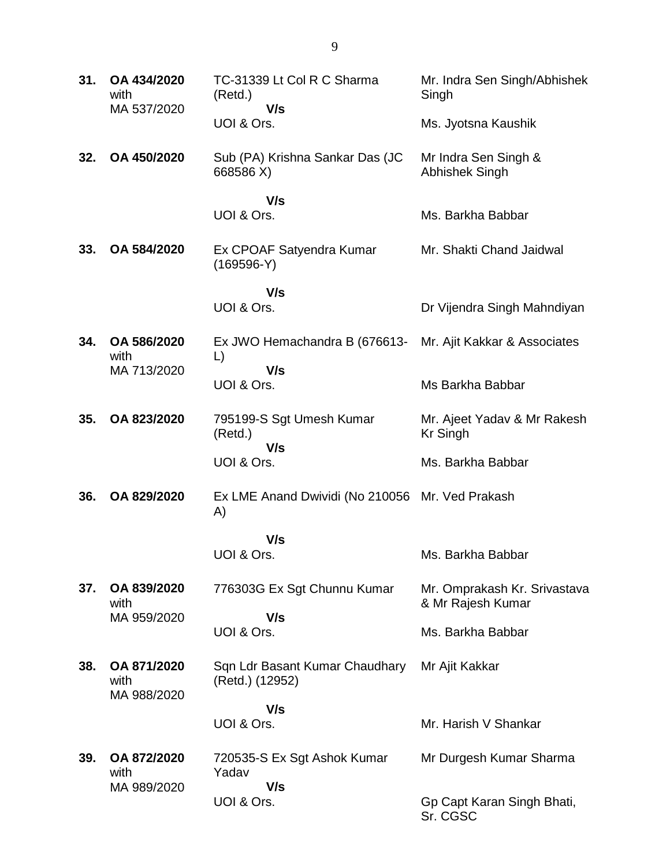| 31. | OA 434/2020<br>with<br>MA 537/2020 | TC-31339 Lt Col R C Sharma<br>(Retd.)<br>V/s      | Mr. Indra Sen Singh/Abhishek<br>Singh             |
|-----|------------------------------------|---------------------------------------------------|---------------------------------------------------|
|     |                                    | UOI & Ors.                                        | Ms. Jyotsna Kaushik                               |
| 32. | OA 450/2020                        | Sub (PA) Krishna Sankar Das (JC<br>668586 X)      | Mr Indra Sen Singh &<br><b>Abhishek Singh</b>     |
|     |                                    | V/s<br>UOI & Ors.                                 | Ms. Barkha Babbar                                 |
| 33. | OA 584/2020                        | Ex CPOAF Satyendra Kumar<br>$(169596-Y)$          | Mr. Shakti Chand Jaidwal                          |
|     |                                    | V/s<br>UOI & Ors.                                 | Dr Vijendra Singh Mahndiyan                       |
| 34. | OA 586/2020<br>with                | Ex JWO Hemachandra B (676613-<br>$\Box$           | Mr. Ajit Kakkar & Associates                      |
|     | MA 713/2020                        | V/s<br>UOI & Ors.                                 | Ms Barkha Babbar                                  |
| 35. | OA 823/2020                        | 795199-S Sgt Umesh Kumar<br>(Retd.)<br>V/s        | Mr. Ajeet Yadav & Mr Rakesh<br><b>Kr Singh</b>    |
|     |                                    | UOI & Ors.                                        | Ms. Barkha Babbar                                 |
| 36. | OA 829/2020                        | Ex LME Anand Dwividi (No 210056<br>A)             | Mr. Ved Prakash                                   |
|     |                                    | V/s<br>UOI & Ors.                                 | Ms. Barkha Babbar                                 |
| 37. | OA 839/2020<br>with                | 776303G Ex Sgt Chunnu Kumar                       | Mr. Omprakash Kr. Srivastava<br>& Mr Rajesh Kumar |
|     | MA 959/2020                        | V/s<br>UOI & Ors.                                 | Ms. Barkha Babbar                                 |
| 38. | OA 871/2020<br>with<br>MA 988/2020 | Sqn Ldr Basant Kumar Chaudhary<br>(Retd.) (12952) | Mr Ajit Kakkar                                    |
|     |                                    | V/s<br>UOI & Ors.                                 | Mr. Harish V Shankar                              |
|     |                                    |                                                   |                                                   |
| 39. | OA 872/2020<br>with<br>MA 989/2020 | 720535-S Ex Sgt Ashok Kumar<br>Yadav<br>V/s       | Mr Durgesh Kumar Sharma                           |
|     |                                    | UOI & Ors.                                        | Gp Capt Karan Singh Bhati,<br>Sr. CGSC            |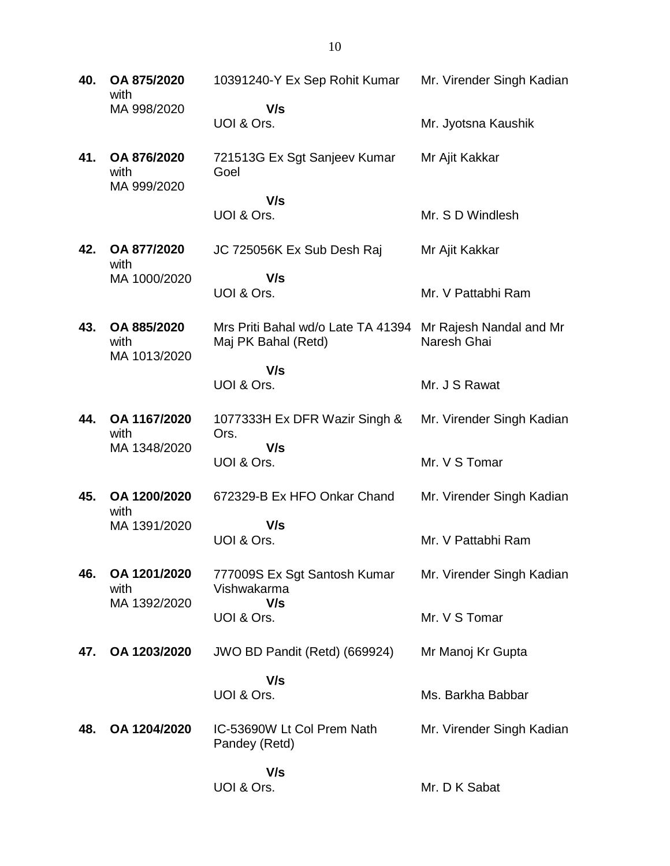**40. OA 875/2020** with MA 998/2020 10391240-Y Ex Sep Rohit Kumar  **V/s** UOI & Ors. Mr. Virender Singh Kadian Mr. Jyotsna Kaushik **41. OA 876/2020** with MA 999/2020 721513G Ex Sgt Sanjeev Kumar Goel  **V/s** UOI & Ors. Mr Ajit Kakkar Mr. S D Windlesh **42. OA 877/2020** with MA 1000/2020 JC 725056K Ex Sub Desh Raj  **V/s** UOI & Ors. Mr Ajit Kakkar Mr. V Pattabhi Ram **43. OA 885/2020** with MA 1013/2020 Mrs Priti Bahal wd/o Late TA 41394 Mr Rajesh Nandal and Mr Maj PK Bahal (Retd)  **V/s** UOI & Ors. Naresh Ghai Mr. J S Rawat **44. OA 1167/2020** with MA 1348/2020 1077333H Ex DFR Wazir Singh & Ors.  **V/s** UOI & Ors. Mr. Virender Singh Kadian Mr. V S Tomar **45. OA 1200/2020** with MA 1391/2020 672329-B Ex HFO Onkar Chand  **V/s** UOI & Ors. Mr. Virender Singh Kadian Mr. V Pattabhi Ram **46. OA 1201/2020** with MA 1392/2020 777009S Ex Sgt Santosh Kumar Vishwakarma  **V/s** UOI & Ors. Mr. Virender Singh Kadian Mr. V S Tomar **47. OA 1203/2020** JWO BD Pandit (Retd) (669924)  **V/s** UOI & Ors. Mr Manoj Kr Gupta Ms. Barkha Babbar **48. OA 1204/2020** IC-53690W Lt Col Prem Nath Pandey (Retd)  **V/s** UOI & Ors. Mr. Virender Singh Kadian Mr. D K Sabat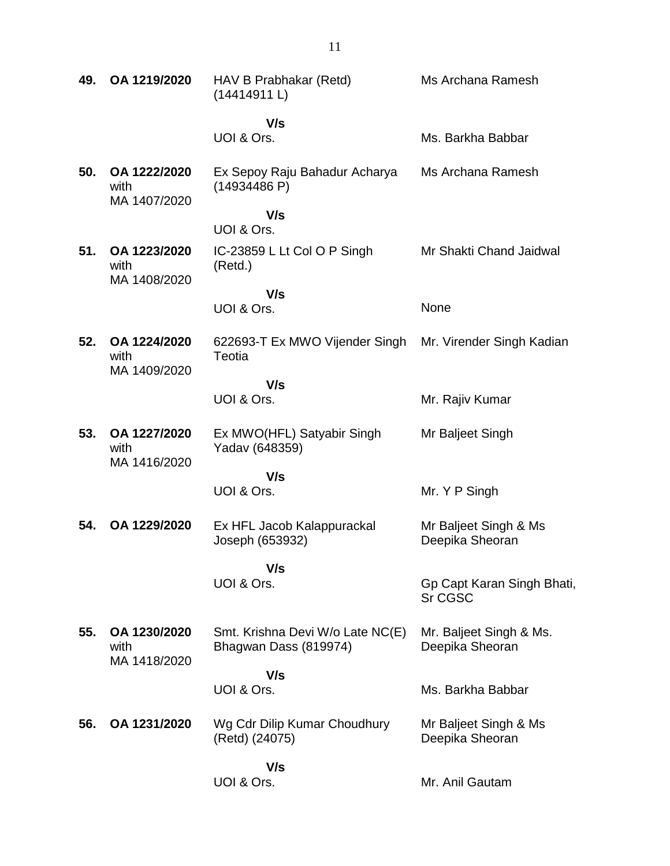| 49. | OA 1219/2020                         | HAV B Prabhakar (Retd)<br>(14414911L)                     | Ms Archana Ramesh                          |
|-----|--------------------------------------|-----------------------------------------------------------|--------------------------------------------|
|     |                                      | V/s                                                       |                                            |
|     |                                      | UOI & Ors.                                                | Ms. Barkha Babbar                          |
| 50. | OA 1222/2020<br>with<br>MA 1407/2020 | Ex Sepoy Raju Bahadur Acharya<br>(14934486 P)             | Ms Archana Ramesh                          |
|     |                                      | V/s                                                       |                                            |
|     |                                      | UOI & Ors.                                                |                                            |
| 51. | OA 1223/2020<br>with<br>MA 1408/2020 | IC-23859 L Lt Col O P Singh<br>(Retd.)                    | Mr Shakti Chand Jaidwal                    |
|     |                                      | V/s                                                       |                                            |
|     |                                      | UOI & Ors.                                                | None                                       |
| 52. | OA 1224/2020<br>with<br>MA 1409/2020 | 622693-T Ex MWO Vijender Singh<br>Teotia                  | Mr. Virender Singh Kadian                  |
|     |                                      | V/s                                                       |                                            |
|     |                                      | UOI & Ors.                                                | Mr. Rajiv Kumar                            |
| 53. | OA 1227/2020<br>with<br>MA 1416/2020 | Ex MWO(HFL) Satyabir Singh<br>Yadav (648359)              | Mr Baljeet Singh                           |
|     |                                      | V/s                                                       |                                            |
|     |                                      | UOI & Ors.                                                | Mr. Y P Singh                              |
| 54. | OA 1229/2020                         | Ex HFL Jacob Kalappurackal<br>Joseph (653932)             | Mr Baljeet Singh & Ms<br>Deepika Sheoran   |
|     |                                      | V/s<br>UOI & Ors.                                         | Gp Capt Karan Singh Bhati,                 |
|     |                                      |                                                           | <b>Sr CGSC</b>                             |
| 55. | OA 1230/2020<br>with<br>MA 1418/2020 | Smt. Krishna Devi W/o Late NC(E)<br>Bhagwan Dass (819974) | Mr. Baljeet Singh & Ms.<br>Deepika Sheoran |
|     |                                      | V/s                                                       |                                            |
|     |                                      | UOI & Ors.                                                | Ms. Barkha Babbar                          |
| 56. | OA 1231/2020                         | Wg Cdr Dilip Kumar Choudhury<br>(Retd) (24075)            | Mr Baljeet Singh & Ms<br>Deepika Sheoran   |
|     |                                      | V/s                                                       |                                            |
|     |                                      | UOI & Ors.                                                | Mr. Anil Gautam                            |